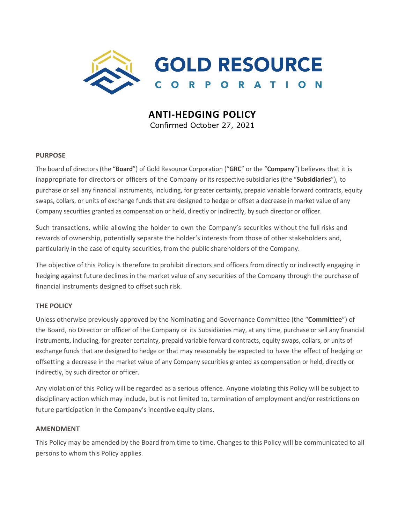

# **ANTI-HEDGING POLICY**

Confirmed October 27, 2021

## **PURPOSE**

The board of directors (the "**Board**") of Gold Resource Corporation ("**GRC**" or the "**Company**") believes that it is inappropriate for directors or officers of the Company or its respective subsidiaries (the "**Subsidiaries**"), to purchase or sell any financial instruments, including, for greater certainty, prepaid variable forward contracts, equity swaps, collars, or units of exchange funds that are designed to hedge or offset a decrease in market value of any Company securities granted as compensation or held, directly or indirectly, by such director or officer.

Such transactions, while allowing the holder to own the Company's securities without the full risks and rewards of ownership, potentially separate the holder's interests from those of other stakeholders and, particularly in the case of equity securities, from the public shareholders of the Company.

The objective of this Policy is therefore to prohibit directors and officers from directly or indirectly engaging in hedging against future declines in the market value of any securities of the Company through the purchase of financial instruments designed to offset such risk.

## **THE POLICY**

Unless otherwise previously approved by the Nominating and Governance Committee (the "**Committee**") of the Board, no Director or officer of the Company or its Subsidiaries may, at any time, purchase or sell any financial instruments, including, for greater certainty, prepaid variable forward contracts, equity swaps, collars, or units of exchange funds that are designed to hedge or that may reasonably be expected to have the effect of hedging or offsetting a decrease in the market value of any Company securities granted as compensation or held, directly or indirectly, by such director or officer.

Any violation of this Policy will be regarded as a serious offence. Anyone violating this Policy will be subject to disciplinary action which may include, but is not limited to, termination of employment and/or restrictions on future participation in the Company's incentive equity plans.

## **AMENDMENT**

This Policy may be amended by the Board from time to time. Changes to this Policy will be communicated to all persons to whom this Policy applies.